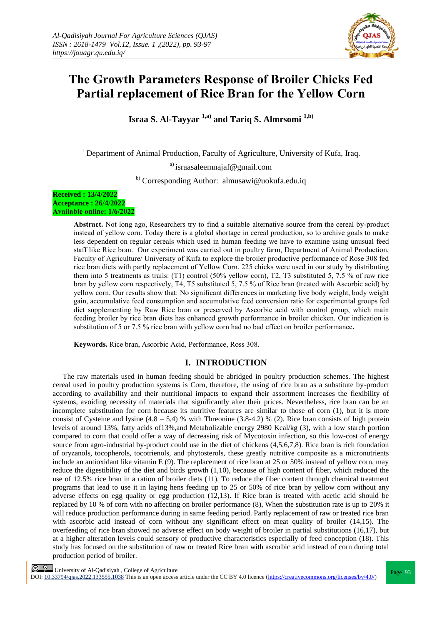

# **The Growth Parameters Response of Broiler Chicks Fed Partial replacement of Rice Bran for the Yellow Corn**

**Israa S. Al-Tayyar 1,a) and Tariq S. Almrsomi 1,b)**

<sup>1</sup> Department of Animal Production, Faculty of Agriculture, University of Kufa, Iraq.

a) israasaleemnajaf@gmail.com

b) Corresponding Author: almusawi@uokufa.edu.iq

#### **Received : 13/4/2022 Acceptance : 26/4/2022 Available online: 1/6/2022**

**Abstract.** Not long ago, Researchers try to find a suitable alternative source from the cereal by-product instead of yellow corn. Today there is a global shortage in cereal production, so to archive goals to make less dependent on regular cereals which used in human feeding we have to examine using unusual feed staff like Rice bran. Our experiment was carried out in poultry farm, Department of Animal Production, Faculty of Agriculture/ University of Kufa to explore the broiler productive performance of Rose 308 fed rice bran diets with partly replacement of Yellow Corn. 225 chicks were used in our study by distributing them into 5 treatments as trails: (T1) control (50% yellow corn), T2, T3 substituted 5, 7.5 % of raw rice bran by yellow corn respectively, T4, T5 substituted 5, 7.5 % of Rice bran (treated with Ascorbic acid) by yellow corn. Our results show that: No significant differences in marketing live body weight, body weight gain, accumulative feed consumption and accumulative feed conversion ratio for experimental groups fed diet supplementing by Raw Rice bran or preserved by Ascorbic acid with control group, which main feeding broiler by rice bran diets has enhanced growth performance in broiler chicken. Our indication is substitution of 5 or 7.5 % rice bran with yellow corn had no bad effect on broiler performance**.**

**Keywords.** Rice bran, Ascorbic Acid, Performance, Ross 308.

## **I. INTRODUCTION**

The raw materials used in human feeding should be abridged in poultry production schemes. The highest cereal used in poultry production systems is Corn, therefore, the using of rice bran as a substitute by-product according to availability and their nutritional impacts to expand their assortment increases the flexibility of systems, avoiding necessity of materials that significantly alter their prices. Nevertheless, rice bran can be an incomplete substitution for corn because its nutritive features are similar to those of corn (1), but it is more consist of Cysteine and lysine  $(4.8 - 5.4)$  % with Threonine  $(3.8 - 4.2)$  % (2). Rice bran consists of high protein levels of around 13%, fatty acids of13%,and Metabolizable energy 2980 Kcal/kg (3), with a low starch portion compared to corn that could offer a way of decreasing risk of Mycotoxin infection, so this low-cost of energy source from agro-industrial by-product could use in the diet of chickens (4,5,6,7,8). Rice bran is rich foundation of oryzanols, tocopherols, tocotrienols, and phytosterols, these greatly nutritive composite as a micronutrients include an antioxidant like vitamin E (9). The replacement of rice bran at 25 or 50% instead of yellow corn, may reduce the digestibility of the diet and birds growth (1,10), because of high content of fiber, which reduced the use of 12.5% rice bran in a ration of broiler diets (11). To reduce the fiber content through chemical treatment programs that lead to use it in laying hens feeding up to 25 or 50% of rice bran by yellow corn without any adverse effects on egg quality or egg production (12,13). If Rice bran is treated with acetic acid should be replaced by 10 % of corn with no affecting on broiler performance  $(8)$ . When the substitution rate is up to 20% it will reduce production performance during in same feeding period. Partly replacement of raw or treated rice bran with ascorbic acid instead of corn without any significant effect on meat quality of broiler (14,15). The overfeeding of rice bran showed no adverse effect on body weight of broiler in partial substitutions (16,17), but at a higher alteration levels could sensory of productive characteristics especially of feed conception (18). This study has focused on the substitution of raw or treated Rice bran with ascorbic acid instead of corn during total production period of broiler.

**Page 93**<br>
Page 93 | University of Al-Qadisiyah, College of Agriculture<br>
Page 93

DOI:  $10.33794/q$ jas.2022.133555.1038 This is an open access article under the CC BY 4.0 licence (https://creativecommons.org/licenses/by/4.0/)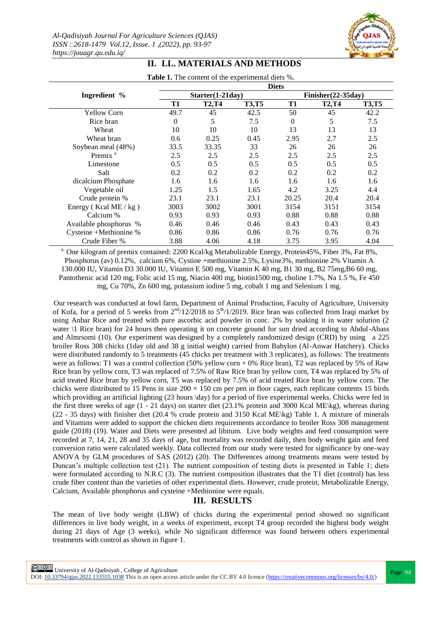

|                        | <b>Diets</b>       |              |              |                     |              |              |
|------------------------|--------------------|--------------|--------------|---------------------|--------------|--------------|
| Ingredient %           | $Starter(1-21day)$ |              |              | $Finsher(22-35day)$ |              |              |
|                        | T1                 | <b>T2,T4</b> | <b>T3,T5</b> | T1                  | <b>T2,T4</b> | <b>T3,T5</b> |
| <b>Yellow Corn</b>     | 49.7               | 45           | 42.5         | 50                  | 45           | 42.2         |
| Rice bran              | 0                  | 5            | 7.5          | $\Omega$            | 5            | 7.5          |
| Wheat                  | 10                 | 10           | 10           | 13                  | 13           | 13           |
| Wheat bran             | 0.6                | 0.25         | 0.45         | 2.95                | 2.7          | 2.5          |
| Soybean meal (48%)     | 33.5               | 33.35        | 33           | 26                  | 26           | 26           |
| Premix <sup>a</sup>    | 2.5                | 2.5          | 2.5          | 2.5                 | 2.5          | 2.5          |
| Limestone              | 0.5                | 0.5          | 0.5          | 0.5                 | 0.5          | 0.5          |
| Salt                   | 0.2                | 0.2          | 0.2          | 0.2                 | 0.2          | 0.2          |
| dicalcium Phosphate    | 1.6                | 1.6          | 1.6          | 1.6                 | 1.6          | 1.6          |
| Vegetable oil          | 1.25               | 1.5          | 1.65         | 4.2                 | 3.25         | 4.4          |
| Crude protein %        | 23.1               | 23.1         | 23.1         | 20.25               | 20.4         | 20.4         |
| Energy (Kcal ME / kg)  | 3003               | 3002         | 3001         | 3154                | 3151         | 3154         |
| Calcium %              | 0.93               | 0.93         | 0.93         | 0.88                | 0.88         | 0.88         |
| Available phosphorus % | 0.46               | 0.46         | 0.46         | 0.43                | 0.43         | 0.43         |
| Cysteine +Methionine % | 0.86               | 0.86         | 0.86         | 0.76                | 0.76         | 0.76         |
| Crude Fiber %          | 3.88               | 4.06         | 4.18         | 3.75                | 3.95         | 4.04         |

## **II. LL. MATERIALS AND METHODS**

Table 1. The content of the experimental diets %.

<sup>a.</sup> One kilogram of premix contained: 2200 Kcal/kg Metabolizable Energy, Protein45%, Fiber 3%, Fat 8%, Phosphorus (av) 0.12%, calcium 6%, Cystine +methionine 2.5%, Lysine3%, methionine 2% Vitamin A 130.000 IU, Vitamin D3 30.000 IU, Vitamin E 500 mg, Vitamin K 40 mg, B1 30 mg, B2 75mg,B6 60 mg, Pantothenic acid 120 mg, Folic acid 15 mg, Niacin 400 mg, biotin1500 mg, choline 1.7%, Na 1.5 %, Fe 450 mg, Cu 70%, Zn 600 mg, potassium iodine 5 mg, cobalt 1 mg and Selenium 1 mg.

Our research was conducted at fowl farm, Department of Animal Production, Faculty of Agriculture, University of Kufa, for a period of 5 weeks from  $2<sup>nd</sup>/12/2018$  to  $5<sup>th</sup>/1/2019$ . Rice bran was collected from Iraqi market by using Anbar Rice and treated with pure ascorbic acid powder in conc. 2% by soaking it in water solution (2 water \1 Rice bran) for 24 hours then operating it on concrete ground for sun dried according to Abdul-Abass and Almrsomi (10). Our experiment was designed by a completely randomized design (CRD) by using a 225 broiler Ross 308 chicks (1day old and 38 g initial weight) carried from Babylon (Al-Anwar Hatchery). Chicks were distributed randomly to 5 treatments (45 chicks per treatment with 3 replicates), as follows: The treatments were as follows: T1 was a control collection (50% yellow corn + 0% Rice bran), T2 was replaced by 5% of Raw Rice bran by yellow corn, T3 was replaced of 7.5% of Raw Rice bran by yellow corn, T4 was replaced by 5% of acid treated Rice bran by yellow corn, T5 was replaced by 7.5% of acid treated Rice bran by yellow corn. The chicks were distributed to 15 Pens in size  $200 \times 150$  cm per pen in floor cages, each replicate contents 15 birds which providing an artificial lighting (23 hours  $\day$ ) for a period of five experimental weeks. Chicks were fed in the first three weeks of age (1 - 21 days) on starter diet (23.1% protein and 3000 Kcal ME\kg), whereas during (22 - 35 days) with finisher diet (20.4 % crude protein and 3150 Kcal ME\kg) Table 1. A mixture of minerals and Vitamins were added to support the chicken diets requirements accordance to broiler Ross 308 management guide (2018) (19). Water and Diets were presented ad libitum. Live body weights and feed consumption were recorded at 7, 14, 21, 28 and 35 days of age, but mortality was recorded daily, then body weight gain and feed conversion ratio were calculated weekly. Data collected from our study were tested for significance by one-way ANOVA by GLM procedures of SAS (2012) (20). The Differences among treatments means were tested by Duncan's multiple collection test (21). The nutrient composition of testing diets is presented in Table 1; diets were formulated according to N.R.C (3). The nutrient composition illustrates that the T1 diet (control) has less crude fiber content than the varieties of other experimental diets. However, crude protein, Metabolizable Energy, Calcium, Available phosphorus and cysteine +Methionine were equals.

## **III. RESULTS**

The mean of live body weight (LBW) of chicks during the experimental period showed no significant differences in live body weight, in a weeks of experiment, except T4 group recorded the highest body weight during 21 days of Age (3 weeks), while No significant difference was found between others experimental treatments with control as shown in figure 1.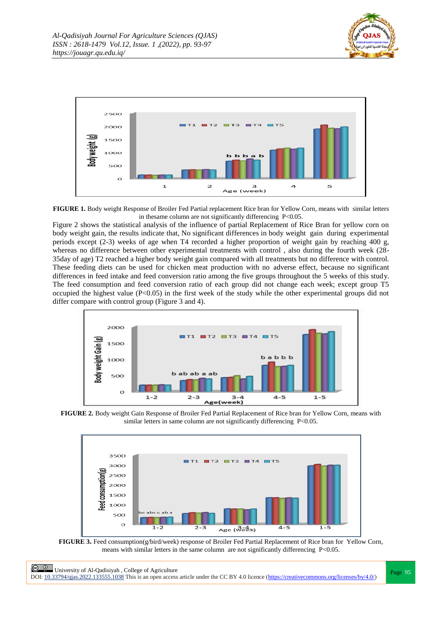



**FIGURE 1.** Body weight Response of Broiler Fed Partial replacement Rice bran for Yellow Corn, means with similar letters in thesame column are not significantly differencing P<0.05.

Figure 2 shows the statistical analysis of the influence of partial Replacement of Rice Bran for yellow corn on body weight gain, the results indicate that, No significant differences in body weight gain during experimental periods except (2-3) weeks of age when T4 recorded a higher proportion of weight gain by reaching 400 g, whereas no difference between other experimental treatments with control , also during the fourth week (28- 35day of age) T2 reached a higher body weight gain compared with all treatments but no difference with control. These feeding diets can be used for chicken meat production with no adverse effect, because no significant differences in feed intake and feed conversion ratio among the five groups throughout the 5 weeks of this study. The feed consumption and feed conversion ratio of each group did not change each week; except group T5 occupied the highest value (P<0.05) in the first week of the study while the other experimental groups did not differ compare with control group (Figure 3 and 4).







**FIGURE 3.** Feed consumption(g/bird/week) response of Broiler Fed Partial Replacement of Rice bran for Yellow Corn, means with similar letters in the same column are not significantly differencing P<0.05.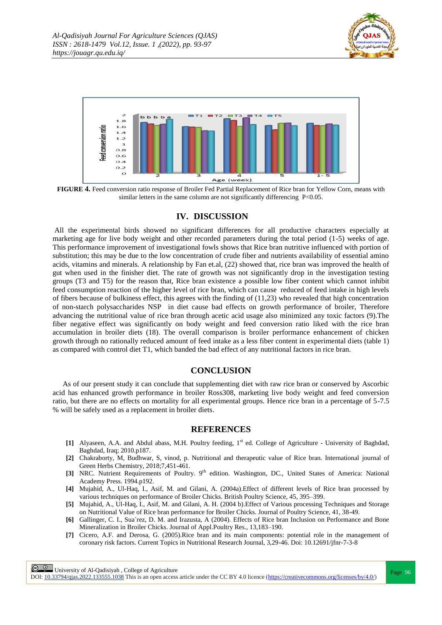



**FIGURE 4.** Feed conversion ratio response of Broiler Fed Partial Replacement of Rice bran for Yellow Corn, means with similar letters in the same column are not significantly differencing P<0.05.

## **IV. DISCUSSION**

All the experimental birds showed no significant differences for all productive characters especially at marketing age for live body weight and other recorded parameters during the total period (1-5) weeks of age. This performance improvement of investigational fowls shows that Rice bran nutritive influenced with portion of substitution; this may be due to the low concentration of crude fiber and nutrients availability of essential amino acids, vitamins and minerals. A relationship by Fan et.al, (22) showed that, rice bran was improved the health of gut when used in the finisher diet. The rate of growth was not significantly drop in the investigation testing groups (T3 and T5) for the reason that, Rice bran existence a possible low fiber content which cannot inhibit feed consumption reaction of the higher level of rice bran, which can cause reduced of feed intake in high levels of fibers because of bulkiness effect, this agrees with the finding of (11,23) who revealed that high concentration of non-starch polysaccharides NSP in diet cause bad effects on growth performance of broiler, Therefore advancing the nutritional value of rice bran through acetic acid usage also minimized any toxic factors (9).The fiber negative effect was significantly on body weight and feed conversion ratio liked with the rice bran accumulation in broiler diets (18). The overall comparison is broiler performance enhancement of chicken growth through no rationally reduced amount of feed intake as a less fiber content in experimental diets (table 1) as compared with control diet T1, which banded the bad effect of any nutritional factors in rice bran.

## **CONCLUSION**

As of our present study it can conclude that supplementing diet with raw rice bran or conserved by Ascorbic acid has enhanced growth performance in broiler Ross308, marketing live body weight and feed conversion ratio, but there are no effects on mortality for all experimental groups. Hence rice bran in a percentage of 5-7.5 % will be safely used as a replacement in broiler diets.

## **REFERENCES**

- [1] Alyaseen, A.A. and Abdul abass, M.H. Poultry feeding, 1<sup>st</sup> ed. College of Agriculture University of Baghdad, Baghdad, Iraq; 2010.p187.
- **[2]** Chakraborty, M, Budhwar, S, vinod, p. Nutritional and therapeutic value of Rice bran. International journal of Green Herbs Chemistry, 2018;7,451-461.
- [3] NRC. Nutrient Requirements of Poultry. 9<sup>th</sup> edition. Washington, DC., United States of America: National Academy Press. 1994.p192.
- **[4]** Mujahid, A., Ul-Haq, I., Asif, M. and Gilani, A. (2004a).Effect of different levels of Rice bran processed by various techniques on performance of Broiler Chicks. British Poultry Science, 45, 395–399.
- **[5]** Mujahid, A., Ul-Haq, I., Asif, M. and Gilani, A. H. (2004 b).Effect of Various processing Techniques and Storage on Nutritional Value of Rice bran performance for Broiler Chicks. Journal of Poultry Science, 41, 38-49.
- **[6]** Gallinger, C. I., Sua´rez, D. M. and Irazusta, A (2004). Effects of Rice bran Inclusion on Performance and Bone Mineralization in Broiler Chicks. Journal of Appl.Poultry Res., 13,183–190.
- **[7]** Cicero, A.F. and Derosa, G. (2005).Rice bran and its main components: potential role in the management of coronary risk factors. Current Topics in Nutritional Research Journal, 3,29-46. Doi: 10.12691/jfnr-7-3-8

DOI:  $10.33794/q$ jas.2022.133555.1038 This is an open access article under the CC BY 4.0 licence (https://creativecommons.org/licenses/by/4.0/)